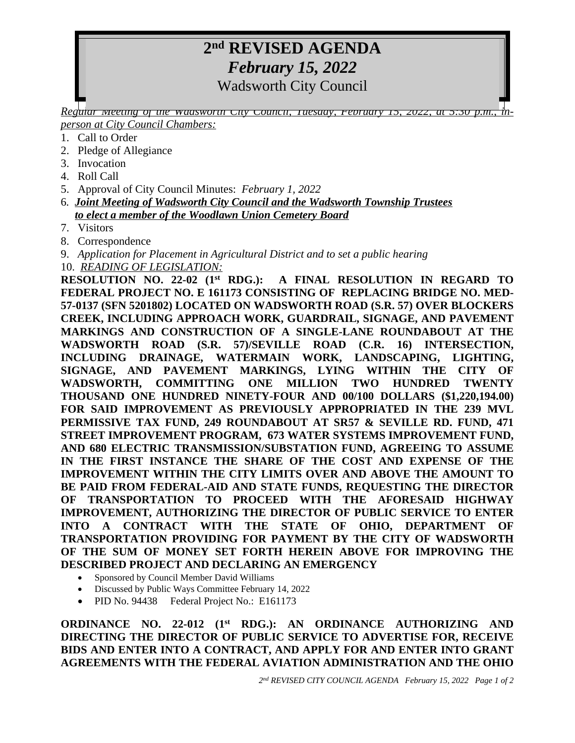## **2 nd REVISED AGENDA** *February 15, 2022*

Wadsworth City Council

*Regular Meeting of the Wadsworth City Council, Tuesday, February 15, 2022, at 5:30 p.m., inperson at City Council Chambers:*

- 1. Call to Order
- 2. Pledge of Allegiance
- 3. Invocation
- 4. Roll Call
- 5. Approval of City Council Minutes: *February 1, 2022*
- 6*. Joint Meeting of Wadsworth City Council and the Wadsworth Township Trustees to elect a member of the Woodlawn Union Cemetery Board*
- 7. Visitors
- 8. Correspondence
- 9. *Application for Placement in Agricultural District and to set a public hearing*
- 10. *READING OF LEGISLATION:*

**RESOLUTION NO. 22-02 (1st RDG.): A FINAL RESOLUTION IN REGARD TO FEDERAL PROJECT NO. E 161173 CONSISTING OF REPLACING BRIDGE NO. MED-57-0137 (SFN 5201802) LOCATED ON WADSWORTH ROAD (S.R. 57) OVER BLOCKERS CREEK, INCLUDING APPROACH WORK, GUARDRAIL, SIGNAGE, AND PAVEMENT MARKINGS AND CONSTRUCTION OF A SINGLE-LANE ROUNDABOUT AT THE WADSWORTH ROAD (S.R. 57)/SEVILLE ROAD (C.R. 16) INTERSECTION, INCLUDING DRAINAGE, WATERMAIN WORK, LANDSCAPING, LIGHTING, SIGNAGE, AND PAVEMENT MARKINGS, LYING WITHIN THE CITY OF WADSWORTH, COMMITTING ONE MILLION TWO HUNDRED TWENTY THOUSAND ONE HUNDRED NINETY-FOUR AND 00/100 DOLLARS (\$1,220,194.00) FOR SAID IMPROVEMENT AS PREVIOUSLY APPROPRIATED IN THE 239 MVL PERMISSIVE TAX FUND, 249 ROUNDABOUT AT SR57 & SEVILLE RD. FUND, 471 STREET IMPROVEMENT PROGRAM, 673 WATER SYSTEMS IMPROVEMENT FUND, AND 680 ELECTRIC TRANSMISSION/SUBSTATION FUND, AGREEING TO ASSUME IN THE FIRST INSTANCE THE SHARE OF THE COST AND EXPENSE OF THE IMPROVEMENT WITHIN THE CITY LIMITS OVER AND ABOVE THE AMOUNT TO BE PAID FROM FEDERAL-AID AND STATE FUNDS, REQUESTING THE DIRECTOR OF TRANSPORTATION TO PROCEED WITH THE AFORESAID HIGHWAY IMPROVEMENT, AUTHORIZING THE DIRECTOR OF PUBLIC SERVICE TO ENTER INTO A CONTRACT WITH THE STATE OF OHIO, DEPARTMENT OF TRANSPORTATION PROVIDING FOR PAYMENT BY THE CITY OF WADSWORTH OF THE SUM OF MONEY SET FORTH HEREIN ABOVE FOR IMPROVING THE DESCRIBED PROJECT AND DECLARING AN EMERGENCY**

- Sponsored by Council Member David Williams
- Discussed by Public Ways Committee February 14, 2022
- PID No. 94438 Federal Project No.: E161173

**ORDINANCE NO. 22-012 (1 st RDG.): AN ORDINANCE AUTHORIZING AND DIRECTING THE DIRECTOR OF PUBLIC SERVICE TO ADVERTISE FOR, RECEIVE BIDS AND ENTER INTO A CONTRACT, AND APPLY FOR AND ENTER INTO GRANT AGREEMENTS WITH THE FEDERAL AVIATION ADMINISTRATION AND THE OHIO**